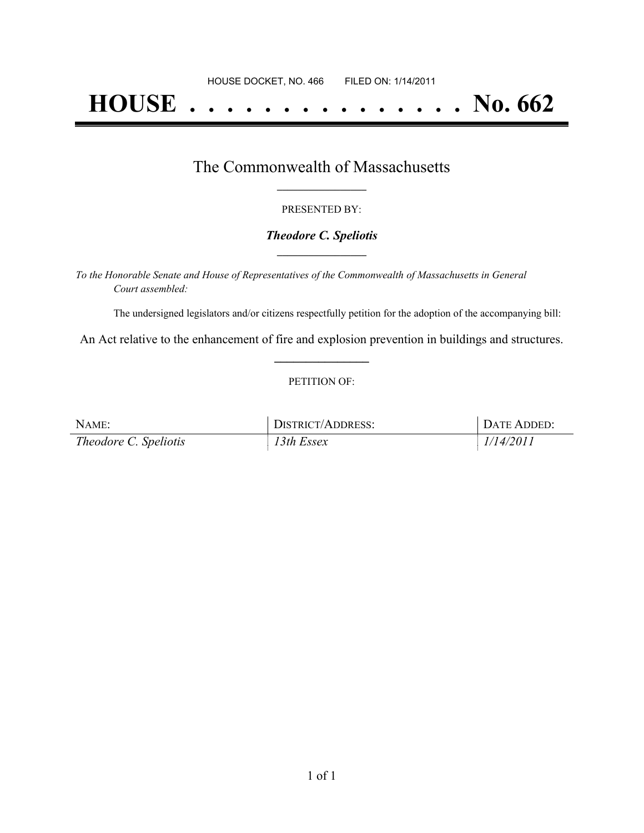# **HOUSE . . . . . . . . . . . . . . . No. 662**

## The Commonwealth of Massachusetts **\_\_\_\_\_\_\_\_\_\_\_\_\_\_\_\_\_**

#### PRESENTED BY:

#### *Theodore C. Speliotis* **\_\_\_\_\_\_\_\_\_\_\_\_\_\_\_\_\_**

*To the Honorable Senate and House of Representatives of the Commonwealth of Massachusetts in General Court assembled:*

The undersigned legislators and/or citizens respectfully petition for the adoption of the accompanying bill:

An Act relative to the enhancement of fire and explosion prevention in buildings and structures. **\_\_\_\_\_\_\_\_\_\_\_\_\_\_\_**

#### PETITION OF:

| NAME:                        | <b>DISTRICT/ADDRESS:</b> | DATE ADDED: |
|------------------------------|--------------------------|-------------|
| <i>Theodore C. Speliotis</i> | $13$ th Essex            | 1/14/2011   |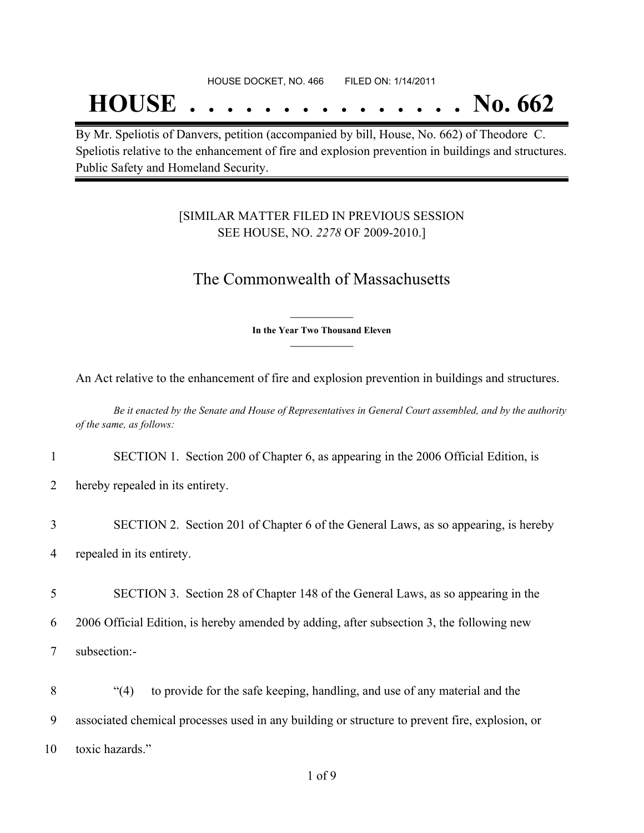## **HOUSE . . . . . . . . . . . . . . . No. 662**

By Mr. Speliotis of Danvers, petition (accompanied by bill, House, No. 662) of Theodore C. Speliotis relative to the enhancement of fire and explosion prevention in buildings and structures. Public Safety and Homeland Security.

### [SIMILAR MATTER FILED IN PREVIOUS SESSION SEE HOUSE, NO. *2278* OF 2009-2010.]

## The Commonwealth of Massachusetts

**\_\_\_\_\_\_\_\_\_\_\_\_\_\_\_ In the Year Two Thousand Eleven \_\_\_\_\_\_\_\_\_\_\_\_\_\_\_**

An Act relative to the enhancement of fire and explosion prevention in buildings and structures.

Be it enacted by the Senate and House of Representatives in General Court assembled, and by the authority *of the same, as follows:*

1 SECTION 1. Section 200 of Chapter 6, as appearing in the 2006 Official Edition, is

2 hereby repealed in its entirety.

3 SECTION 2. Section 201 of Chapter 6 of the General Laws, as so appearing, is hereby 4 repealed in its entirety.

5 SECTION 3. Section 28 of Chapter 148 of the General Laws, as so appearing in the 6 2006 Official Edition, is hereby amended by adding, after subsection 3, the following new 7 subsection:-

8 "(4) to provide for the safe keeping, handling, and use of any material and the 9 associated chemical processes used in any building or structure to prevent fire, explosion, or 10 toxic hazards."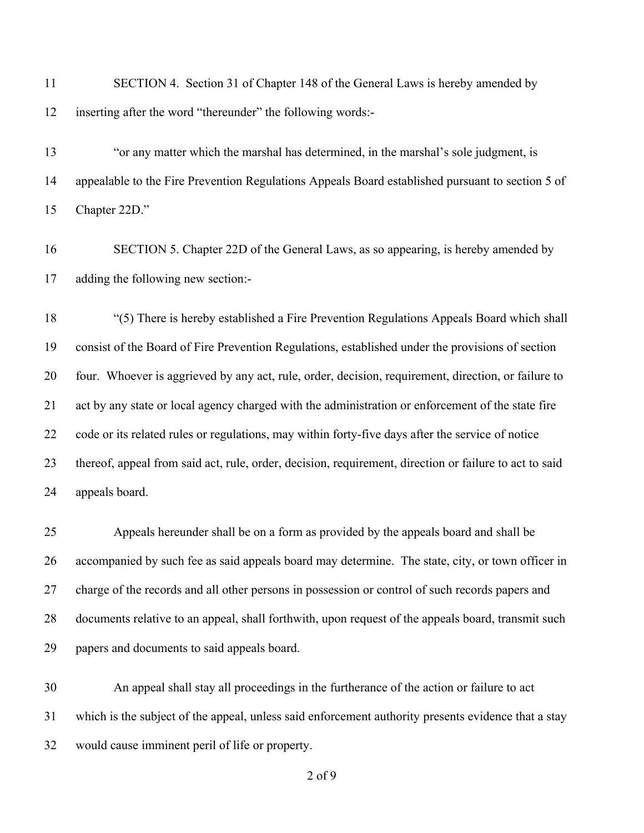| 11 | SECTION 4. Section 31 of Chapter 148 of the General Laws is hereby amended by |
|----|-------------------------------------------------------------------------------|
|    | 12 inserting after the word "thereunder" the following words:-                |

 "or any matter which the marshal has determined, in the marshal's sole judgment, is appealable to the Fire Prevention Regulations Appeals Board established pursuant to section 5 of Chapter 22D."

 SECTION 5. Chapter 22D of the General Laws, as so appearing, is hereby amended by adding the following new section:-

 "(5) There is hereby established a Fire Prevention Regulations Appeals Board which shall consist of the Board of Fire Prevention Regulations, established under the provisions of section four. Whoever is aggrieved by any act, rule, order, decision, requirement, direction, or failure to act by any state or local agency charged with the administration or enforcement of the state fire code or its related rules or regulations, may within forty-five days after the service of notice thereof, appeal from said act, rule, order, decision, requirement, direction or failure to act to said appeals board.

 Appeals hereunder shall be on a form as provided by the appeals board and shall be accompanied by such fee as said appeals board may determine. The state, city, or town officer in charge of the records and all other persons in possession or control of such records papers and documents relative to an appeal, shall forthwith, upon request of the appeals board, transmit such papers and documents to said appeals board.

 An appeal shall stay all proceedings in the furtherance of the action or failure to act which is the subject of the appeal, unless said enforcement authority presents evidence that a stay would cause imminent peril of life or property.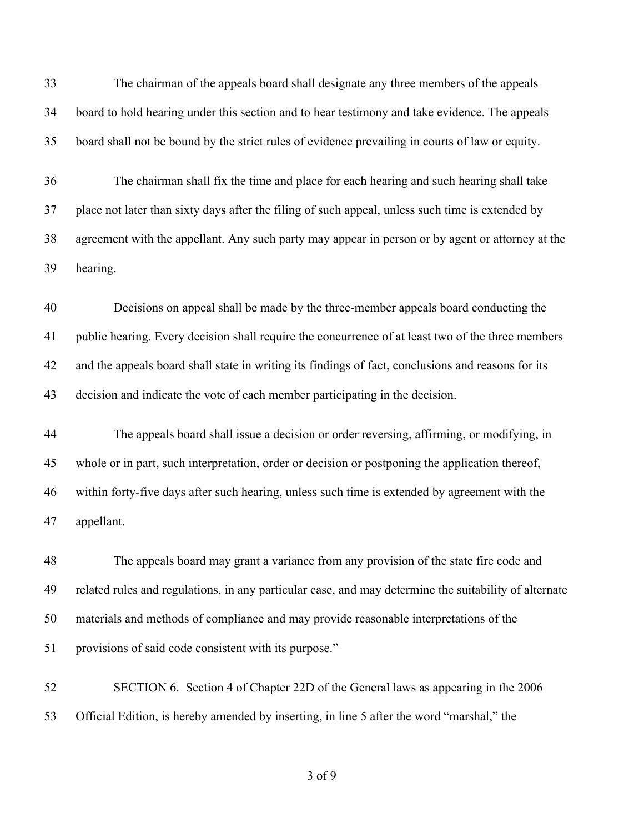The chairman of the appeals board shall designate any three members of the appeals board to hold hearing under this section and to hear testimony and take evidence. The appeals board shall not be bound by the strict rules of evidence prevailing in courts of law or equity.

 The chairman shall fix the time and place for each hearing and such hearing shall take place not later than sixty days after the filing of such appeal, unless such time is extended by agreement with the appellant. Any such party may appear in person or by agent or attorney at the hearing.

 Decisions on appeal shall be made by the three-member appeals board conducting the public hearing. Every decision shall require the concurrence of at least two of the three members and the appeals board shall state in writing its findings of fact, conclusions and reasons for its decision and indicate the vote of each member participating in the decision.

 The appeals board shall issue a decision or order reversing, affirming, or modifying, in whole or in part, such interpretation, order or decision or postponing the application thereof, within forty-five days after such hearing, unless such time is extended by agreement with the appellant.

 The appeals board may grant a variance from any provision of the state fire code and related rules and regulations, in any particular case, and may determine the suitability of alternate materials and methods of compliance and may provide reasonable interpretations of the provisions of said code consistent with its purpose."

 SECTION 6. Section 4 of Chapter 22D of the General laws as appearing in the 2006 Official Edition, is hereby amended by inserting, in line 5 after the word "marshal," the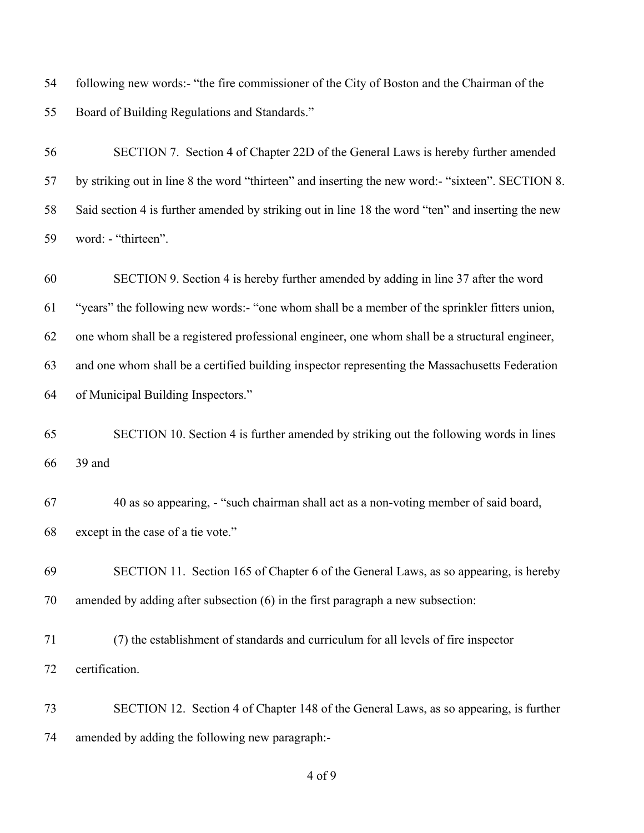following new words:- "the fire commissioner of the City of Boston and the Chairman of the Board of Building Regulations and Standards."

 SECTION 7. Section 4 of Chapter 22D of the General Laws is hereby further amended by striking out in line 8 the word "thirteen" and inserting the new word:- "sixteen". SECTION 8. Said section 4 is further amended by striking out in line 18 the word "ten" and inserting the new word: - "thirteen".

 SECTION 9. Section 4 is hereby further amended by adding in line 37 after the word "years" the following new words:- "one whom shall be a member of the sprinkler fitters union, one whom shall be a registered professional engineer, one whom shall be a structural engineer, and one whom shall be a certified building inspector representing the Massachusetts Federation of Municipal Building Inspectors."

 SECTION 10. Section 4 is further amended by striking out the following words in lines 39 and

 40 as so appearing, - "such chairman shall act as a non-voting member of said board, except in the case of a tie vote."

 SECTION 11. Section 165 of Chapter 6 of the General Laws, as so appearing, is hereby amended by adding after subsection (6) in the first paragraph a new subsection:

 (7) the establishment of standards and curriculum for all levels of fire inspector certification.

 SECTION 12. Section 4 of Chapter 148 of the General Laws, as so appearing, is further amended by adding the following new paragraph:-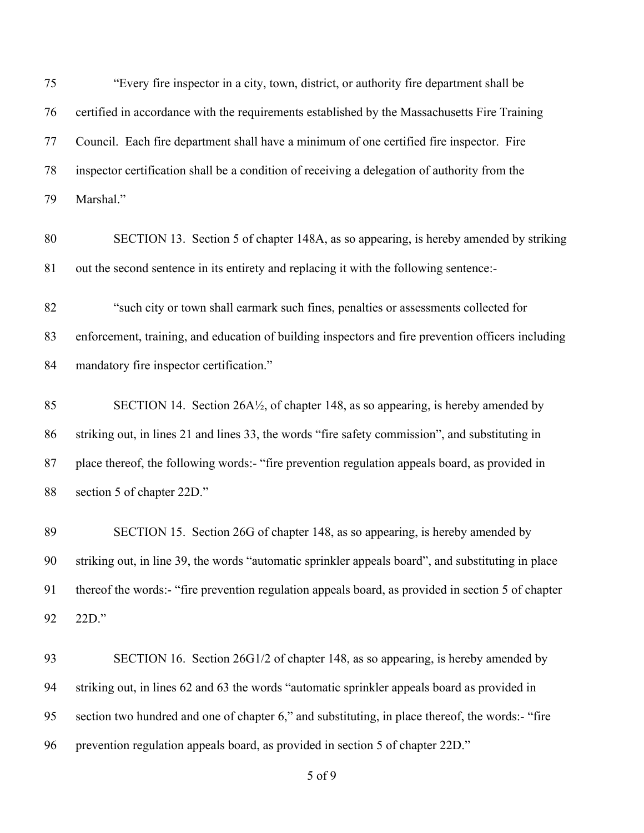"Every fire inspector in a city, town, district, or authority fire department shall be certified in accordance with the requirements established by the Massachusetts Fire Training Council. Each fire department shall have a minimum of one certified fire inspector. Fire inspector certification shall be a condition of receiving a delegation of authority from the Marshal."

 SECTION 13. Section 5 of chapter 148A, as so appearing, is hereby amended by striking out the second sentence in its entirety and replacing it with the following sentence:-

 "such city or town shall earmark such fines, penalties or assessments collected for enforcement, training, and education of building inspectors and fire prevention officers including mandatory fire inspector certification."

 SECTION 14. Section 26A½, of chapter 148, as so appearing, is hereby amended by striking out, in lines 21 and lines 33, the words "fire safety commission", and substituting in 87 place thereof, the following words:- "fire prevention regulation appeals board, as provided in section 5 of chapter 22D."

 SECTION 15. Section 26G of chapter 148, as so appearing, is hereby amended by striking out, in line 39, the words "automatic sprinkler appeals board", and substituting in place thereof the words:- "fire prevention regulation appeals board, as provided in section 5 of chapter 22D."

 SECTION 16. Section 26G1/2 of chapter 148, as so appearing, is hereby amended by striking out, in lines 62 and 63 the words "automatic sprinkler appeals board as provided in section two hundred and one of chapter 6," and substituting, in place thereof, the words:- "fire prevention regulation appeals board, as provided in section 5 of chapter 22D."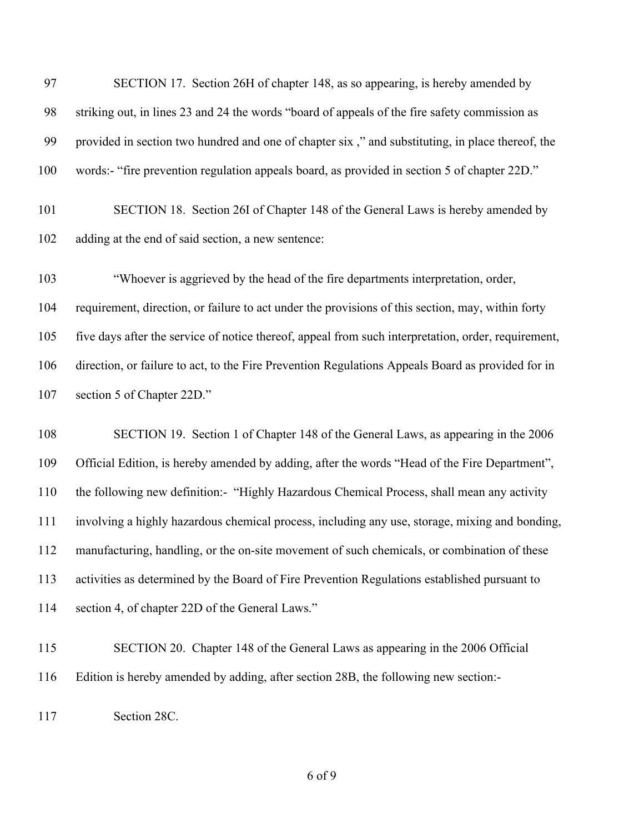| 97  | SECTION 17. Section 26H of chapter 148, as so appearing, is hereby amended by                       |
|-----|-----------------------------------------------------------------------------------------------------|
| 98  | striking out, in lines 23 and 24 the words "board of appeals of the fire safety commission as       |
| 99  | provided in section two hundred and one of chapter six," and substituting, in place thereof, the    |
| 100 | words:- "fire prevention regulation appeals board, as provided in section 5 of chapter 22D."        |
| 101 | SECTION 18. Section 26I of Chapter 148 of the General Laws is hereby amended by                     |
| 102 | adding at the end of said section, a new sentence:                                                  |
| 103 | "Whoever is aggrieved by the head of the fire departments interpretation, order,                    |
| 104 | requirement, direction, or failure to act under the provisions of this section, may, within forty   |
| 105 | five days after the service of notice thereof, appeal from such interpretation, order, requirement, |
| 106 | direction, or failure to act, to the Fire Prevention Regulations Appeals Board as provided for in   |
| 107 | section 5 of Chapter 22D."                                                                          |
| 108 | SECTION 19. Section 1 of Chapter 148 of the General Laws, as appearing in the 2006                  |
| 109 | Official Edition, is hereby amended by adding, after the words "Head of the Fire Department",       |
| 110 | the following new definition:- "Highly Hazardous Chemical Process, shall mean any activity          |
| 111 | involving a highly hazardous chemical process, including any use, storage, mixing and bonding,      |
| 112 | manufacturing, handling, or the on-site movement of such chemicals, or combination of these         |
| 113 | activities as determined by the Board of Fire Prevention Regulations established pursuant to        |

- section 4, of chapter 22D of the General Laws."
- SECTION 20. Chapter 148 of the General Laws as appearing in the 2006 Official Edition is hereby amended by adding, after section 28B, the following new section:-
- Section 28C.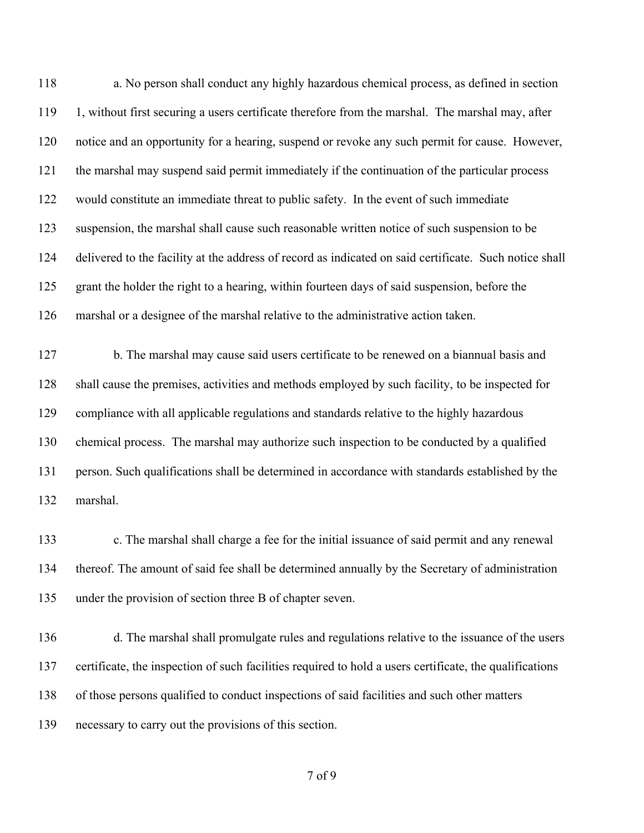a. No person shall conduct any highly hazardous chemical process, as defined in section 1, without first securing a users certificate therefore from the marshal. The marshal may, after notice and an opportunity for a hearing, suspend or revoke any such permit for cause. However, the marshal may suspend said permit immediately if the continuation of the particular process would constitute an immediate threat to public safety. In the event of such immediate suspension, the marshal shall cause such reasonable written notice of such suspension to be delivered to the facility at the address of record as indicated on said certificate. Such notice shall grant the holder the right to a hearing, within fourteen days of said suspension, before the marshal or a designee of the marshal relative to the administrative action taken.

 b. The marshal may cause said users certificate to be renewed on a biannual basis and shall cause the premises, activities and methods employed by such facility, to be inspected for compliance with all applicable regulations and standards relative to the highly hazardous chemical process. The marshal may authorize such inspection to be conducted by a qualified person. Such qualifications shall be determined in accordance with standards established by the marshal.

 c. The marshal shall charge a fee for the initial issuance of said permit and any renewal thereof. The amount of said fee shall be determined annually by the Secretary of administration under the provision of section three B of chapter seven.

 d. The marshal shall promulgate rules and regulations relative to the issuance of the users certificate, the inspection of such facilities required to hold a users certificate, the qualifications of those persons qualified to conduct inspections of said facilities and such other matters necessary to carry out the provisions of this section.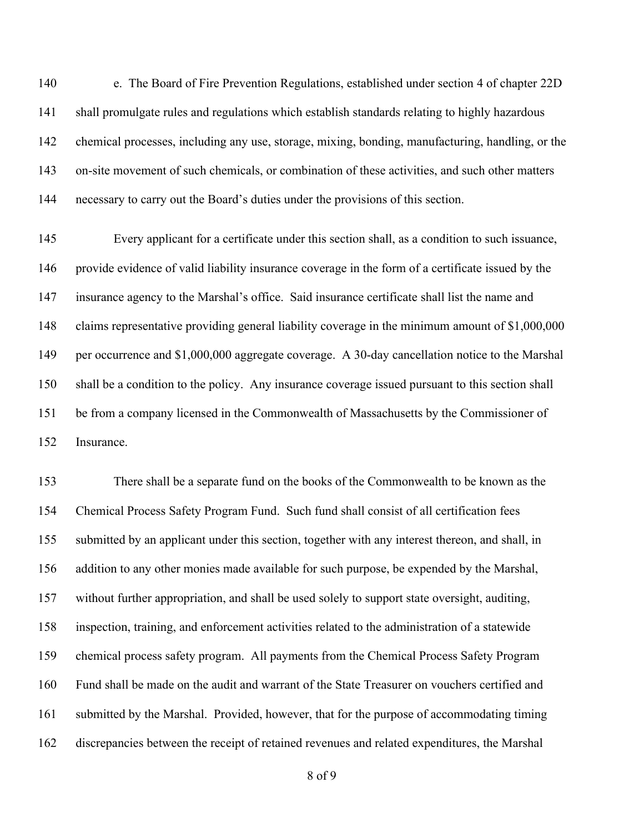e. The Board of Fire Prevention Regulations, established under section 4 of chapter 22D shall promulgate rules and regulations which establish standards relating to highly hazardous chemical processes, including any use, storage, mixing, bonding, manufacturing, handling, or the on-site movement of such chemicals, or combination of these activities, and such other matters necessary to carry out the Board's duties under the provisions of this section.

 Every applicant for a certificate under this section shall, as a condition to such issuance, provide evidence of valid liability insurance coverage in the form of a certificate issued by the insurance agency to the Marshal's office. Said insurance certificate shall list the name and claims representative providing general liability coverage in the minimum amount of \$1,000,000 per occurrence and \$1,000,000 aggregate coverage. A 30-day cancellation notice to the Marshal shall be a condition to the policy. Any insurance coverage issued pursuant to this section shall be from a company licensed in the Commonwealth of Massachusetts by the Commissioner of Insurance.

 There shall be a separate fund on the books of the Commonwealth to be known as the Chemical Process Safety Program Fund. Such fund shall consist of all certification fees submitted by an applicant under this section, together with any interest thereon, and shall, in addition to any other monies made available for such purpose, be expended by the Marshal, without further appropriation, and shall be used solely to support state oversight, auditing, inspection, training, and enforcement activities related to the administration of a statewide chemical process safety program. All payments from the Chemical Process Safety Program Fund shall be made on the audit and warrant of the State Treasurer on vouchers certified and submitted by the Marshal. Provided, however, that for the purpose of accommodating timing discrepancies between the receipt of retained revenues and related expenditures, the Marshal